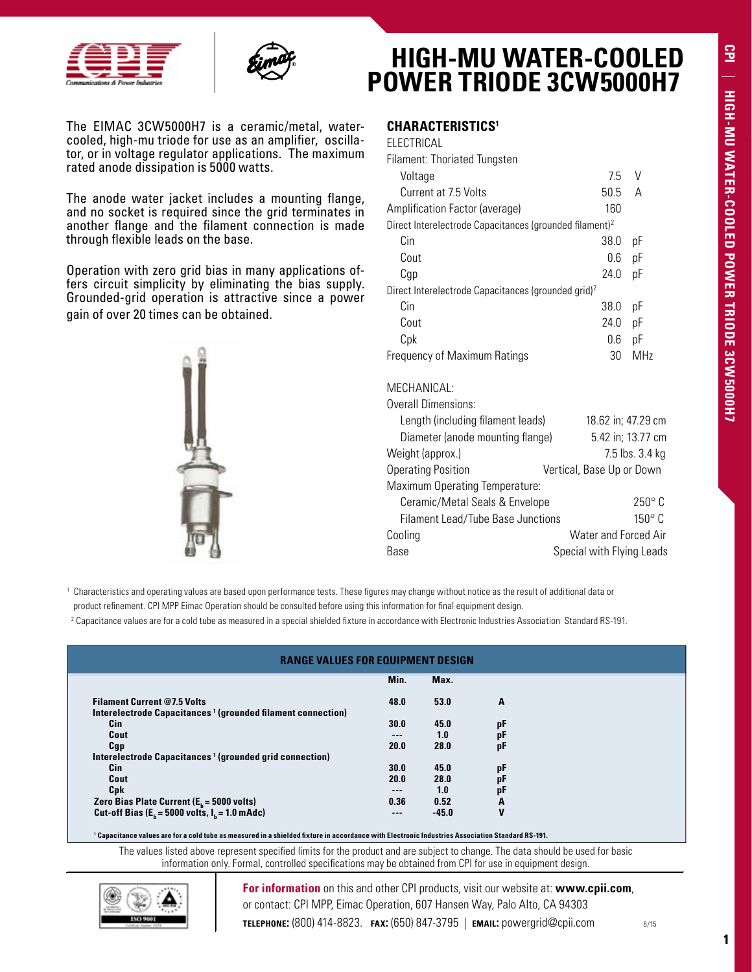



The EIMAC 3CW5000H7 is a ceramic/metal, watercooled, high-mu triode for use as an amplifier, oscillator, or in voltage regulator applications. The maximum rated anode dissipation is 5000 watts.

The anode water jacket includes a mounting flange, and no socket is required since the grid terminates in another flange and the filament connection is made through flexible leads on the base.

Operation with zero grid bias in many applications offers circuit simplicity by eliminating the bias supply. Grounded-grid operation is attractive since a power gain of over 20 times can be obtained.



## **HIGH-MU WATER-COOLED POWER TRIODE 3CW5000H7**

## **Characteristics1**

| ELECTRICAL                                                          |      |                 |
|---------------------------------------------------------------------|------|-----------------|
| Filament: Thoriated Tungsten                                        |      |                 |
| Voltage                                                             | 75   | V               |
| Current at 7.5 Volts                                                | 50.5 | А               |
| Amplification Factor (average)                                      | 160  |                 |
| Direct Interelectrode Capacitances (grounded filament) <sup>2</sup> |      |                 |
| Cin                                                                 | 38.0 | рF              |
| Cout                                                                | 0.6  | pF              |
| Cgp                                                                 | 24.0 | рF              |
| Direct Interelectrode Capacitances (grounded grid) <sup>2</sup>     |      |                 |
| Cin                                                                 | 38.0 | рF              |
| Cout                                                                | 24.0 | рF              |
| Cpk                                                                 | 0.6  | рF              |
| Frequency of Maximum Ratings                                        | 30   | MH <sub>7</sub> |

## MECHANICAL:

Overall Dimensions:

| OVEI AIL DIITIEI ISIUITS.                |                             |
|------------------------------------------|-----------------------------|
| Length (including filament leads)        | 18.62 in; 47.29 cm          |
| Diameter (anode mounting flange)         | 5.42 in; 13.77 cm           |
| Weight (approx.)                         | 7.5 lbs. 3.4 kg             |
| <b>Operating Position</b>                | Vertical, Base Up or Down   |
| Maximum Operating Temperature:           |                             |
| Ceramic/Metal Seals & Envelope           | $250^\circ$ C               |
| <b>Filament Lead/Tube Base Junctions</b> | $150^{\circ}$ C             |
| Cooling                                  | <b>Water and Forced Air</b> |
| Base                                     | Special with Flying Leads   |
|                                          |                             |

 $^{\rm 1}$  Characteristics and operating values are based upon performance tests. These figures may change without notice as the result of additional data or

product refinement. CPI MPP Eimac Operation should be consulted before using this information for final equipment design.

<sup>2</sup> Capacitance values are for a cold tube as measured in a special shielded fixture in accordance with Electronic Industries Association Standard RS-191.

| <b>RANGE VALUES FOR EQUIPMENT DESIGN</b>                                                                      |       |         |    |
|---------------------------------------------------------------------------------------------------------------|-------|---------|----|
|                                                                                                               | Min.  | Max.    |    |
| <b>Filament Current @7.5 Volts</b><br>Interelectrode Capacitances <sup>1</sup> (grounded filament connection) | 48.0  | 53.0    | A  |
| Cin                                                                                                           | 30.0  | 45.0    | рF |
| Cout                                                                                                          | $---$ | 1.0     | рF |
| Cgp                                                                                                           | 20.0  | 28.0    | pF |
| Interelectrode Capacitances <sup>1</sup> (grounded grid connection)                                           |       |         |    |
| Cin                                                                                                           | 30.0  | 45.0    | рF |
| Cout                                                                                                          | 20.0  | 28.0    | рF |
| Cpk                                                                                                           | $---$ | 1.0     | рF |
|                                                                                                               | 0.36  | 0.52    | A  |
| Zero Bias Plate Current ( $E_b$ = 5000 volts)<br>Cut-off Bias ( $E_b$ = 5000 volts, $I_b$ = 1.0 mAdc)         | $---$ | $-45.0$ | V  |

**1 Capacitance values are for a cold tube as measured in a shielded fixture in accordance with Electronic Industries Association Standard RS-191.**

The values listed above represent specified limits for the product and are subject to change. The data should be used for basic information only. Formal, controlled specifications may be obtained from CPI for use in equipment design.



**For information** on this and other CPI products, visit our website at: **www.cpii.com**, or contact: CPI MPP, Eimac Operation, 607 Hansen Way, Palo Alto, CA 94303

1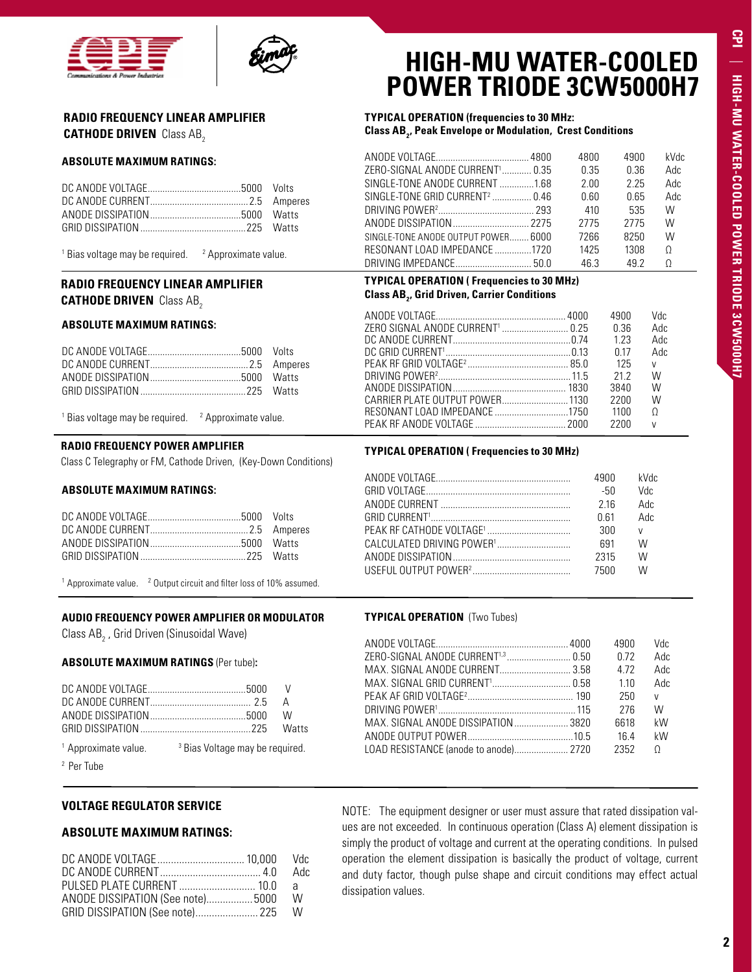



## **RADIO FREQUENCY LINEAR AMPLIFIER CATHODE DRIVEN** Class AB<sub>2</sub>

#### **ABSOLUTE MAXIMUM RATINGS:**

<sup>1</sup> Bias voltage may be required.  $\frac{2}{3}$  Approximate value.

## **RADIO FREQUENCY LINEAR AMPLIFIER CATHODE DRIVEN** Class AB<sub>2</sub>

#### **ABSOLUTE MAXIMUM RATINGS:**

 $1$  Bias voltage may be required.  $2$ <sup>2</sup> Approximate value.

## **RADIO FREQUENCY POWER AMPLIFIER**

Class C Telegraphy or FM, Cathode Driven, (Key-Down Conditions)

#### **ABSOLUTE MAXIMUM RATINGS:**

<sup>1</sup> Approximate value.  $2^2$  Output circuit and filter loss of 10% assumed.

#### **AUDIO FREQUENCY POWER AMPLIFIER OR MODULATOR**

Class AB $_{\rm_2}$  , Grid Driven (Sinusoidal Wave)

#### **ABSOLUTE MAXIMUM RATINGS** (Per tube)**:**

| 1. A construction of the contract of $\mathbb{R}$ D is a Matter construction of $\mathbb{R}$ |  |
|----------------------------------------------------------------------------------------------|--|

<sup>1</sup> Approximate value. <sup>3</sup> Bias Voltage may be required.

2 Per Tube

#### **VOLTAGE REGULATOR SERVICE**

#### **ABSOLUTE MAXIMUM RATINGS:**

|                                                                        | Adc |
|------------------------------------------------------------------------|-----|
| PULSED PLATE CURRENT  10.0                                             | a a |
| ANODE DISSIPATION (See note) 5000<br>GRID DISSIPATION (See note) 225 W | W   |

## **HIGH-MU WATER-COOLED POWER TRIODE 3CW5000H7**

### **TYPICAL OPERATION (frequencies to 30 MHz: Class AB2 , Peak Envelope or Modulation, Crest Conditions**

|                                            | 4800 | 4900 | kVdc |
|--------------------------------------------|------|------|------|
| ZERO-SIGNAL ANODE CURRENT' 0.35            | 0.35 | በ 36 | Adc  |
| SINGLE-TONE ANODE CURRENT 1.68             | 2.00 | 2 25 | Adc  |
| SINGLE-TONE GRID CURRENT <sup>2</sup> 0.46 | 0 60 | 065  | Adc  |
|                                            | 410  | 535  | W    |
|                                            | 2775 | 2775 | W    |
| SINGLE-TONE ANODE OUTPUT POWER 6000        | 7266 | 8250 | W    |
| RESONANT LOAD IMPEDANCE 1720               | 1425 | 1308 | Ω    |
|                                            | 463  | 49.2 |      |

## **TYPICAL OPERATION ( Frequencies to 30 MHz) Class AB2 , Grid Driven, Carrier Conditions**

|  | 4900  | Vdc          |
|--|-------|--------------|
|  | በ 36  | Adc          |
|  | 1 2 3 | Adc          |
|  | በ 17  | Adc          |
|  | 125   | V            |
|  | 21 2  | W            |
|  | 3840  | W            |
|  | 2200  | W            |
|  | 1100  | $\Omega$     |
|  | 2200  | $\mathsf{V}$ |
|  |       |              |

#### **TYPICAL OPERATION ( Frequencies to 30 MHz)**

| 4900 | kVdc |
|------|------|
| -50  | Vdc  |
| 216  | Adc  |
| 0 61 | Adc  |
| 300  | V    |
| 691  | W    |
| 2315 | W    |
| 7500 | W    |
|      |      |

#### **TYPICAL OPERATION** (Two Tubes)

NOTE: The equipment designer or user must assure that rated dissipation values are not exceeded. In continuous operation (Class A) element dissipation is simply the product of voltage and current at the operating conditions. In pulsed operation the element dissipation is basically the product of voltage, current and duty factor, though pulse shape and circuit conditions may effect actual dissipation values.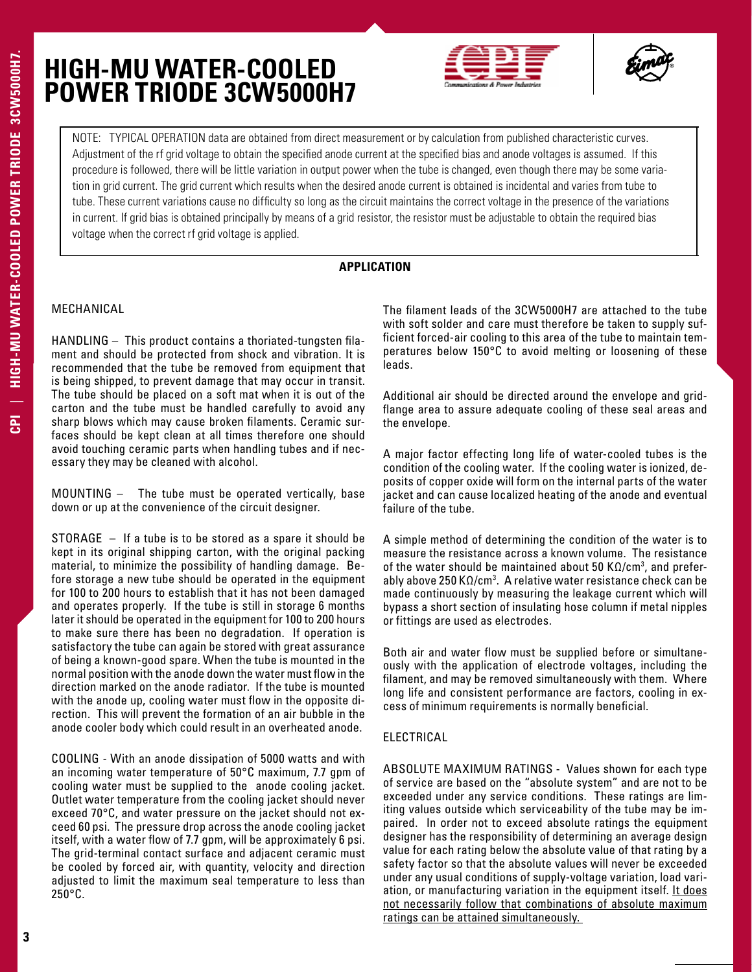



NOTE: TYPICAL OPERATION data are obtained from direct measurement or by calculation from published characteristic curves. Adjustment of the rf grid voltage to obtain the specified anode current at the specified bias and anode voltages is assumed. If this procedure is followed, there will be little variation in output power when the tube is changed, even though there may be some variation in grid current. The grid current which results when the desired anode current is obtained is incidental and varies from tube to tube. These current variations cause no difficulty so long as the circuit maintains the correct voltage in the presence of the variations in current. If grid bias is obtained principally by means of a grid resistor, the resistor must be adjustable to obtain the required bias voltage when the correct rf grid voltage is applied.

### **APPLICATION**

### MECHANICAL

HANDLING – This product contains a thoriated-tungsten filament and should be protected from shock and vibration. It is recommended that the tube be removed from equipment that is being shipped, to prevent damage that may occur in transit. The tube should be placed on a soft mat when it is out of the carton and the tube must be handled carefully to avoid any sharp blows which may cause broken filaments. Ceramic surfaces should be kept clean at all times therefore one should avoid touching ceramic parts when handling tubes and if necessary they may be cleaned with alcohol.

MOUNTING – The tube must be operated vertically, base down or up at the convenience of the circuit designer.

STORAGE – If a tube is to be stored as a spare it should be kept in its original shipping carton, with the original packing material, to minimize the possibility of handling damage. Before storage a new tube should be operated in the equipment for 100 to 200 hours to establish that it has not been damaged and operates properly. If the tube is still in storage 6 months later it should be operated in the equipment for 100 to 200 hours to make sure there has been no degradation. If operation is satisfactory the tube can again be stored with great assurance of being a known-good spare. When the tube is mounted in the normal position with the anode down the water must flow in the direction marked on the anode radiator. If the tube is mounted with the anode up, cooling water must flow in the opposite direction. This will prevent the formation of an air bubble in the anode cooler body which could result in an overheated anode.

COOLING - With an anode dissipation of 5000 watts and with an incoming water temperature of 50°C maximum, 7.7 gpm of cooling water must be supplied to the anode cooling jacket. Outlet water temperature from the cooling jacket should never exceed 70°C, and water pressure on the jacket should not exceed 60 psi. The pressure drop across the anode cooling jacket itself, with a water flow of 7.7 gpm, will be approximately 6 psi. The grid-terminal contact surface and adjacent ceramic must be cooled by forced air, with quantity, velocity and direction adjusted to limit the maximum seal temperature to less than 250°C.

The filament leads of the 3CW5000H7 are attached to the tube with soft solder and care must therefore be taken to supply sufficient forced-air cooling to this area of the tube to maintain temperatures below 150°C to avoid melting or loosening of these leads.

Additional air should be directed around the envelope and gridflange area to assure adequate cooling of these seal areas and the envelope.

A major factor effecting long life of water-cooled tubes is the condition of the cooling water. If the cooling water is ionized, deposits of copper oxide will form on the internal parts of the water jacket and can cause localized heating of the anode and eventual failure of the tube.

A simple method of determining the condition of the water is to measure the resistance across a known volume. The resistance of the water should be maintained about 50  $K\Omega/cm^3$ , and preferably above 250 KΩ/cm<sup>3</sup>. A relative water resistance check can be made continuously by measuring the leakage current which will bypass a short section of insulating hose column if metal nipples or fittings are used as electrodes.

Both air and water flow must be supplied before or simultaneously with the application of electrode voltages, including the filament, and may be removed simultaneously with them. Where long life and consistent performance are factors, cooling in excess of minimum requirements is normally beneficial.

#### ELECTRICAL

ABSOLUTE MAXIMUM RATINGS - Values shown for each type of service are based on the "absolute system" and are not to be exceeded under any service conditions. These ratings are limiting values outside which serviceability of the tube may be impaired. In order not to exceed absolute ratings the equipment designer has the responsibility of determining an average design value for each rating below the absolute value of that rating by a safety factor so that the absolute values will never be exceeded under any usual conditions of supply-voltage variation, load variation, or manufacturing variation in the equipment itself. It does not necessarily follow that combinations of absolute maximum ratings can be attained simultaneously.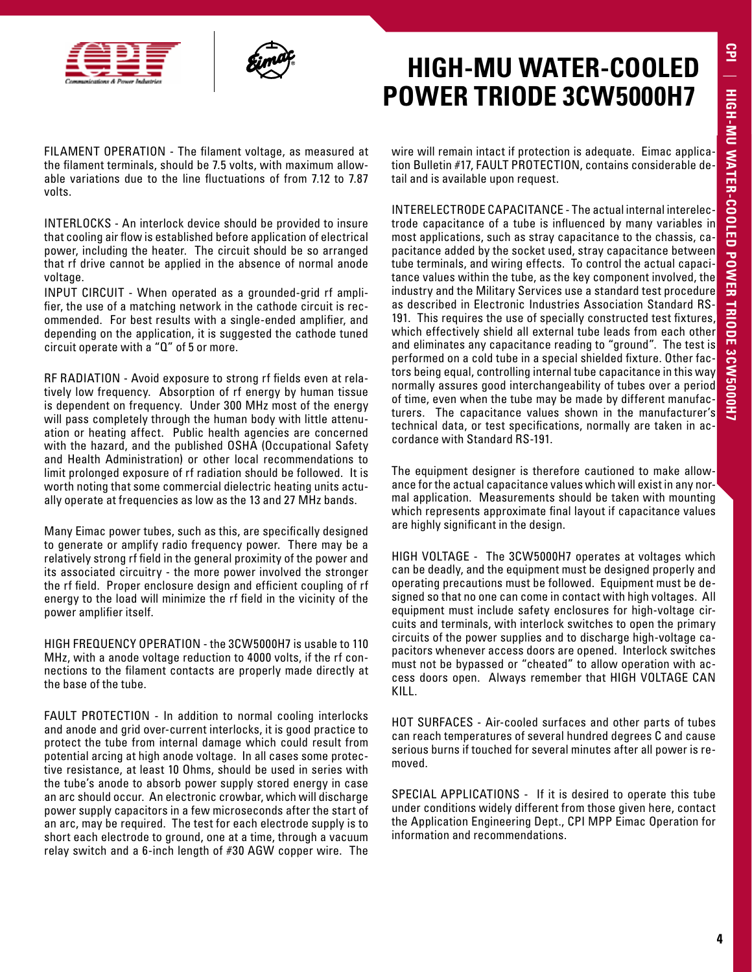



FILAMENT OPERATION - The filament voltage, as measured at the filament terminals, should be 7.5 volts, with maximum allowable variations due to the line fluctuations of from 7.12 to 7.87 volts.

INTERLOCKS - An interlock device should be provided to insure that cooling air flow is established before application of electrical power, including the heater. The circuit should be so arranged that rf drive cannot be applied in the absence of normal anode voltage.

INPUT CIRCUIT - When operated as a grounded-grid rf amplifier, the use of a matching network in the cathode circuit is recommended. For best results with a single-ended amplifier, and depending on the application, it is suggested the cathode tuned circuit operate with a "Q" of 5 or more.

RF RADIATION - Avoid exposure to strong rf fields even at relatively low frequency. Absorption of rf energy by human tissue is dependent on frequency. Under 300 MHz most of the energy will pass completely through the human body with little attenuation or heating affect. Public health agencies are concerned with the hazard, and the published OSHA (Occupational Safety and Health Administration) or other local recommendations to limit prolonged exposure of rf radiation should be followed. It is worth noting that some commercial dielectric heating units actually operate at frequencies as low as the 13 and 27 MHz bands.

Many Eimac power tubes, such as this, are specifically designed to generate or amplify radio frequency power. There may be a relatively strong rf field in the general proximity of the power and its associated circuitry - the more power involved the stronger the rf field. Proper enclosure design and efficient coupling of rf energy to the load will minimize the rf field in the vicinity of the power amplifier itself.

HIGH FREQUENCY OPERATION - the 3CW5000H7 is usable to 110 MHz, with a anode voltage reduction to 4000 volts, if the rf connections to the filament contacts are properly made directly at the base of the tube.

FAULT PROTECTION - In addition to normal cooling interlocks and anode and grid over-current interlocks, it is good practice to protect the tube from internal damage which could result from potential arcing at high anode voltage. In all cases some protective resistance, at least 10 Ohms, should be used in series with the tube's anode to absorb power supply stored energy in case an arc should occur. An electronic crowbar, which will discharge power supply capacitors in a few microseconds after the start of an arc, may be required. The test for each electrode supply is to short each electrode to ground, one at a time, through a vacuum relay switch and a 6-inch length of #30 AGW copper wire. The

wire will remain intact if protection is adequate. Eimac application Bulletin #17, FAULT PROTECTION, contains considerable detail and is available upon request.

INTERELECTRODE CAPACITANCE - The actual internal interelectrode capacitance of a tube is influenced by many variables in most applications, such as stray capacitance to the chassis, capacitance added by the socket used, stray capacitance between tube terminals, and wiring effects. To control the actual capacitance values within the tube, as the key component involved, the industry and the Military Services use a standard test procedure as described in Electronic Industries Association Standard RS-191. This requires the use of specially constructed test fixtures, which effectively shield all external tube leads from each other and eliminates any capacitance reading to "ground". The test is performed on a cold tube in a special shielded fixture. Other factors being equal, controlling internal tube capacitance in this way normally assures good interchangeability of tubes over a period of time, even when the tube may be made by different manufacturers. The capacitance values shown in the manufacturer's technical data, or test specifications, normally are taken in accordance with Standard RS-191.

The equipment designer is therefore cautioned to make allowance for the actual capacitance values which will exist in any normal application. Measurements should be taken with mounting which represents approximate final layout if capacitance values are highly significant in the design.

HIGH VOLTAGE - The 3CW5000H7 operates at voltages which can be deadly, and the equipment must be designed properly and operating precautions must be followed. Equipment must be designed so that no one can come in contact with high voltages. All equipment must include safety enclosures for high-voltage circuits and terminals, with interlock switches to open the primary circuits of the power supplies and to discharge high-voltage capacitors whenever access doors are opened. Interlock switches must not be bypassed or "cheated" to allow operation with access doors open. Always remember that HIGH VOLTAGE CAN KILL.

HOT SURFACES - Air-cooled surfaces and other parts of tubes can reach temperatures of several hundred degrees C and cause serious burns if touched for several minutes after all power is removed.

SPECIAL APPLICATIONS - If it is desired to operate this tube under conditions widely different from those given here, contact the Application Engineering Dept., CPI MPP Eimac Operation for information and recommendations.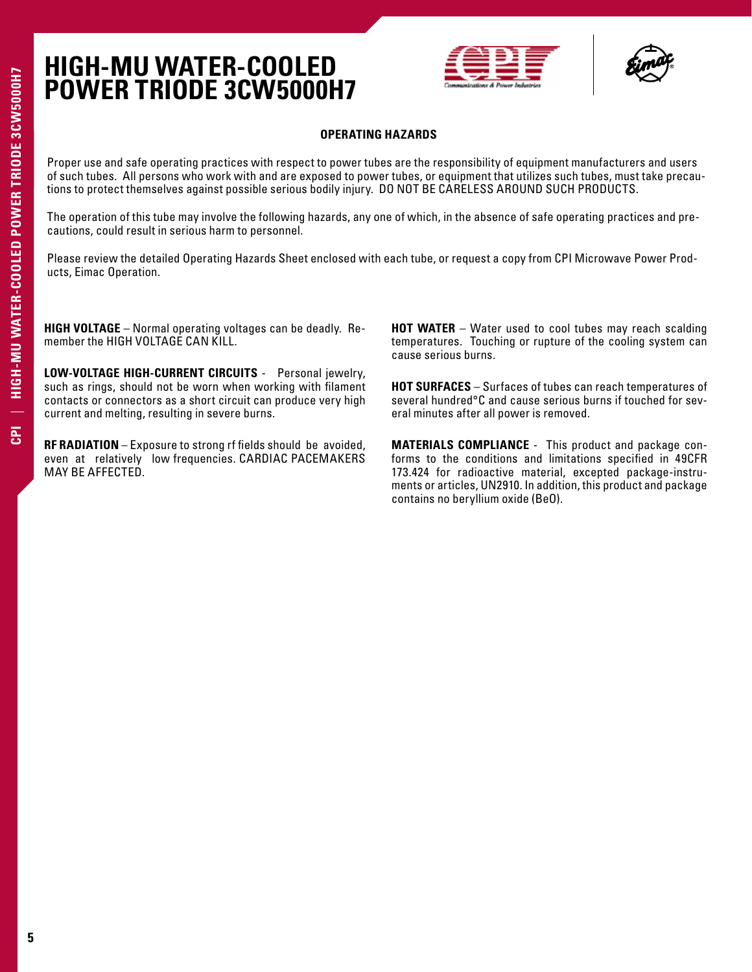



### **OPERATING HAZARDS**

Proper use and safe operating practices with respect to power tubes are the responsibility of equipment manufacturers and users of such tubes. All persons who work with and are exposed to power tubes, or equipment that utilizes such tubes, must take precautions to protect themselves against possible serious bodily injury. DO NOT BE CARELESS AROUND SUCH PRODUCTS.

The operation of this tube may involve the following hazards, any one of which, in the absence of safe operating practices and precautions, could result in serious harm to personnel.

Please review the detailed Operating Hazards Sheet enclosed with each tube, or request a copy from CPI Microwave Power Products, Eimac Operation.

**HIGH VOLTAGE** – Normal operating voltages can be deadly. Remember the HIGH VOLTAGE CAN KILL.

**LOW-VOLTAGE HIGH-CURRENT CIRCUITS** - Personal jewelry, such as rings, should not be worn when working with filament contacts or connectors as a short circuit can produce very high current and melting, resulting in severe burns.

**RF RADIATION** – Exposure to strong rf fields should be avoided, even at relatively low frequencies. CARDIAC PACEMAKERS MAY BE AFFECTED.

**HOT WATER** – Water used to cool tubes may reach scalding temperatures. Touching or rupture of the cooling system can cause serious burns.

**HOT SURFACES** – Surfaces of tubes can reach temperatures of several hundred°C and cause serious burns if touched for several minutes after all power is removed.

**MATERIALS COMPLIANCE** - This product and package conforms to the conditions and limitations specified in 49CFR 173.424 for radioactive material, excepted package-instruments or articles, UN2910. In addition, this product and package contains no beryllium oxide (BeO).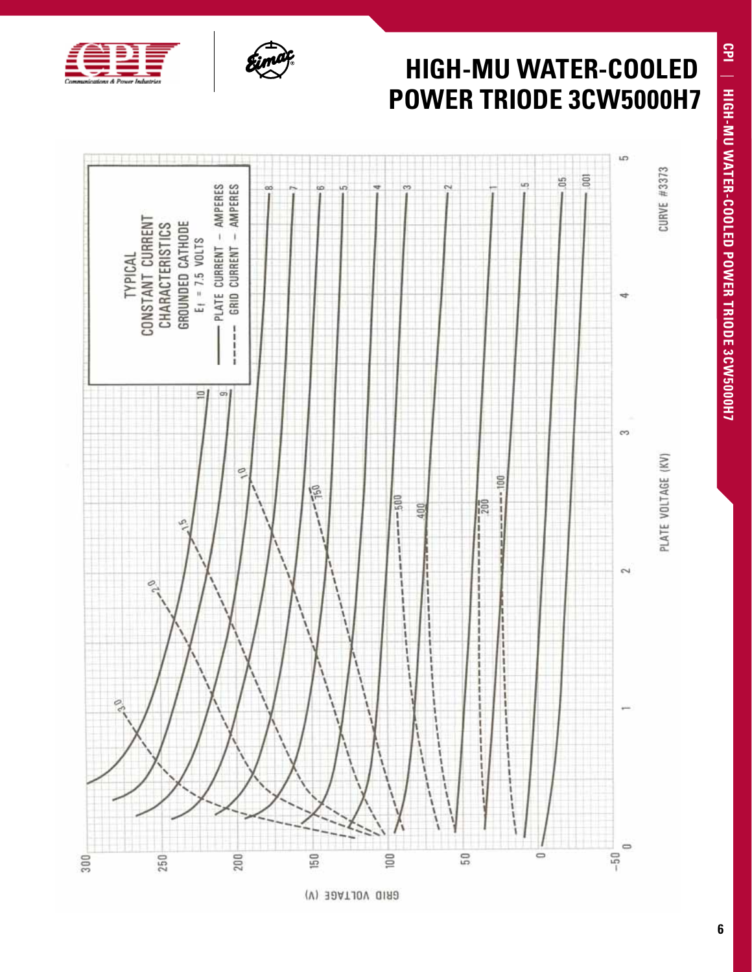

## Ţ **HIGH-MU WATER-COOLED POWER TRIODE 3CW5000H7** in. **CURVE #3373**  $\overline{\Xi}$ 5 uņ - PLATE CURRENT - AMPERES GRID CURRENT - AMPERES œ u. CONSTANT CURRENT GROUNDED CATHODE CHARACTERISTICS  $E_1 = 7.5$  VOLTS TYPICAL Ï  $\frac{1}{1}$  $\equiv$  $\sigma$  $^{62}$ PLATE VOLTAGE (KV) o,  $-1 - 100$ 眉  $-500$  $-\frac{1}{200}$ 100  $\overline{\mathcal{L}}$ Ò



 $100$ 

50

 $\Rightarrow$ 

150

200

250

×

300



 $\Rightarrow$  $-50$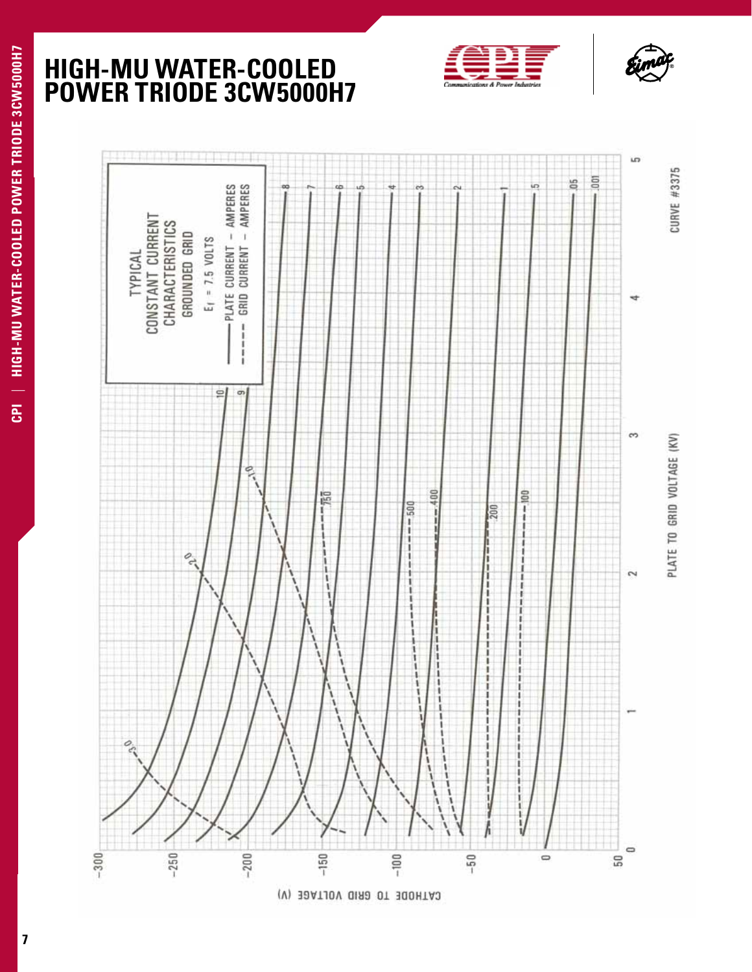





**7**